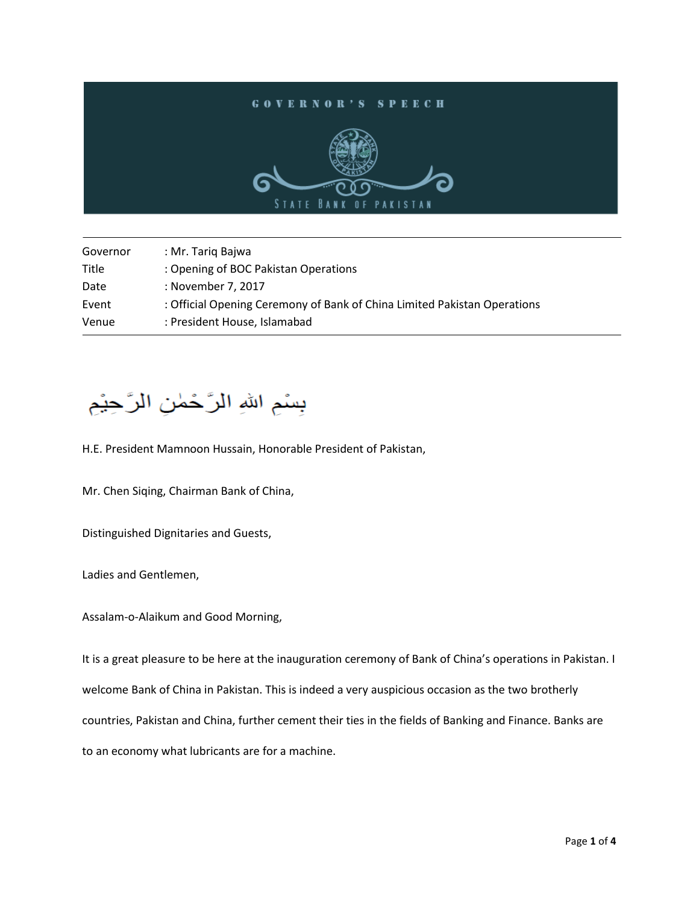

| Governor | : Mr. Tariq Bajwa                                                        |
|----------|--------------------------------------------------------------------------|
| Title    | : Opening of BOC Pakistan Operations                                     |
| Date     | : November 7, 2017                                                       |
| Event    | : Official Opening Ceremony of Bank of China Limited Pakistan Operations |
| Venue    | : President House, Islamabad                                             |

## بِسْمِ اللهِ الرَّحْمٰنِ الرَّحِيْمِ

H.E. President Mamnoon Hussain, Honorable President of Pakistan,

Mr. Chen Siqing, Chairman Bank of China,

Distinguished Dignitaries and Guests,

Ladies and Gentlemen,

Assalam-o-Alaikum and Good Morning,

It is a great pleasure to be here at the inauguration ceremony of Bank of China's operations in Pakistan. I welcome Bank of China in Pakistan. This is indeed a very auspicious occasion as the two brotherly countries, Pakistan and China, further cement their ties in the fields of Banking and Finance. Banks are to an economy what lubricants are for a machine.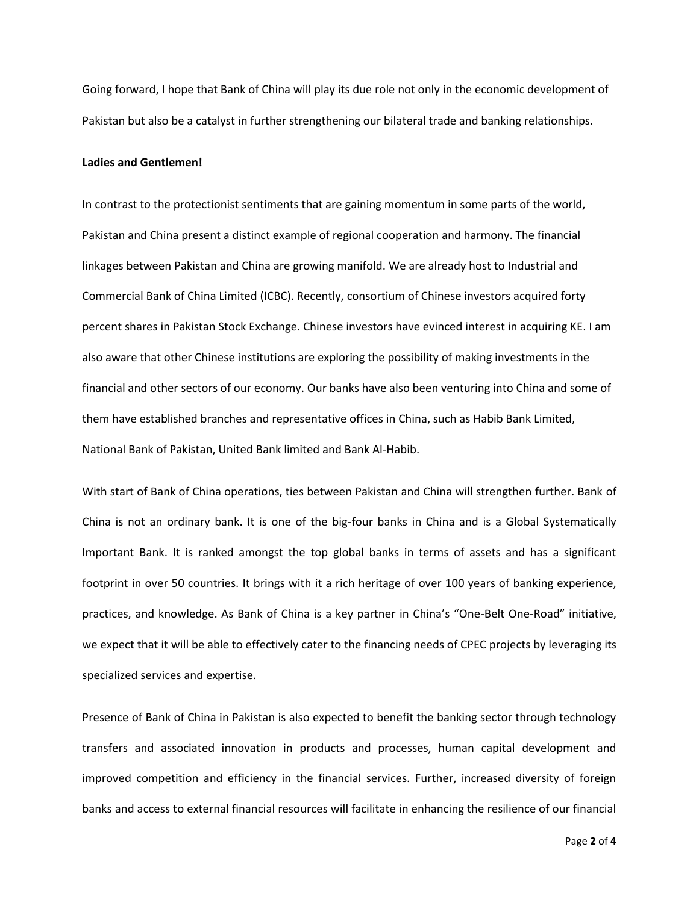Going forward, I hope that Bank of China will play its due role not only in the economic development of Pakistan but also be a catalyst in further strengthening our bilateral trade and banking relationships.

## **Ladies and Gentlemen!**

In contrast to the protectionist sentiments that are gaining momentum in some parts of the world, Pakistan and China present a distinct example of regional cooperation and harmony. The financial linkages between Pakistan and China are growing manifold. We are already host to Industrial and Commercial Bank of China Limited (ICBC). Recently, consortium of Chinese investors acquired forty percent shares in Pakistan Stock Exchange. Chinese investors have evinced interest in acquiring KE. I am also aware that other Chinese institutions are exploring the possibility of making investments in the financial and other sectors of our economy. Our banks have also been venturing into China and some of them have established branches and representative offices in China, such as Habib Bank Limited, National Bank of Pakistan, United Bank limited and Bank Al-Habib.

With start of Bank of China operations, ties between Pakistan and China will strengthen further. Bank of China is not an ordinary bank. It is one of the big-four banks in China and is a Global Systematically Important Bank. It is ranked amongst the top global banks in terms of assets and has a significant footprint in over 50 countries. It brings with it a rich heritage of over 100 years of banking experience, practices, and knowledge. As Bank of China is a key partner in China's "One-Belt One-Road" initiative, we expect that it will be able to effectively cater to the financing needs of CPEC projects by leveraging its specialized services and expertise.

Presence of Bank of China in Pakistan is also expected to benefit the banking sector through technology transfers and associated innovation in products and processes, human capital development and improved competition and efficiency in the financial services. Further, increased diversity of foreign banks and access to external financial resources will facilitate in enhancing the resilience of our financial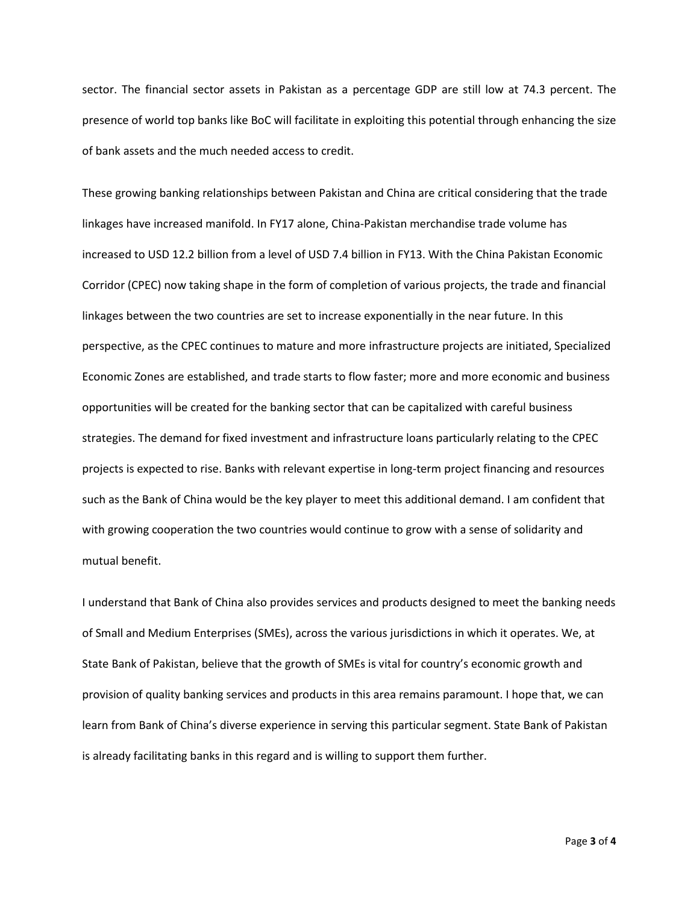sector. The financial sector assets in Pakistan as a percentage GDP are still low at 74.3 percent. The presence of world top banks like BoC will facilitate in exploiting this potential through enhancing the size of bank assets and the much needed access to credit.

These growing banking relationships between Pakistan and China are critical considering that the trade linkages have increased manifold. In FY17 alone, China-Pakistan merchandise trade volume has increased to USD 12.2 billion from a level of USD 7.4 billion in FY13. With the China Pakistan Economic Corridor (CPEC) now taking shape in the form of completion of various projects, the trade and financial linkages between the two countries are set to increase exponentially in the near future. In this perspective, as the CPEC continues to mature and more infrastructure projects are initiated, Specialized Economic Zones are established, and trade starts to flow faster; more and more economic and business opportunities will be created for the banking sector that can be capitalized with careful business strategies. The demand for fixed investment and infrastructure loans particularly relating to the CPEC projects is expected to rise. Banks with relevant expertise in long-term project financing and resources such as the Bank of China would be the key player to meet this additional demand. I am confident that with growing cooperation the two countries would continue to grow with a sense of solidarity and mutual benefit.

I understand that Bank of China also provides services and products designed to meet the banking needs of Small and Medium Enterprises (SMEs), across the various jurisdictions in which it operates. We, at State Bank of Pakistan, believe that the growth of SMEs is vital for country's economic growth and provision of quality banking services and products in this area remains paramount. I hope that, we can learn from Bank of China's diverse experience in serving this particular segment. State Bank of Pakistan is already facilitating banks in this regard and is willing to support them further.